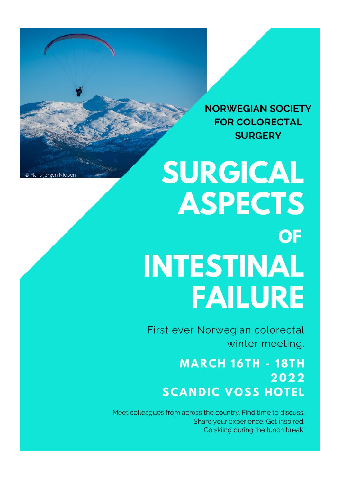**NORWEGIAN SOCIETY FOR COLORECTAL SURGERY** 

## **SURGICAL ASPECTS** OF **INTESTINAL FAILURE**

First ever Norwegian colorectal winter meeting.

### **MARCH 16TH - 18TH** 2022 **SCANDIC VOSS HOTEL**

Meet colleagues from across the country. Find time to discuss. Share your experience. Get inspired. Go skiing during the lunch break.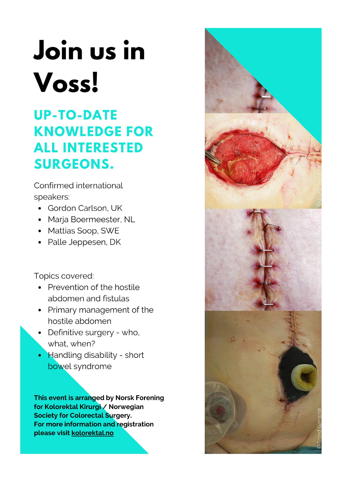# Join us in Voss!

### **UP-TO-DATE KNOWLEDGE FOR ALL INTERESTED SURGEONS.**

Confirmed international speakers:

- Gordon Carlson, UK
- Marja Boermeester, NL
- Mattias Soop, SWE
- Palle Jeppesen, DK

Topics covered:

- Prevention of the hostile abdomen and fistulas
- Primary management of the hostile abdomen
- Definitive surgery who, what, when?
- Handling disability short bowel syndrome

This event is arranged by Norsk Forening for Kolorektal Kirurgi / Norwegian **Society for Colorectal Surgery.** For more information and registration please visit kolorektal.no

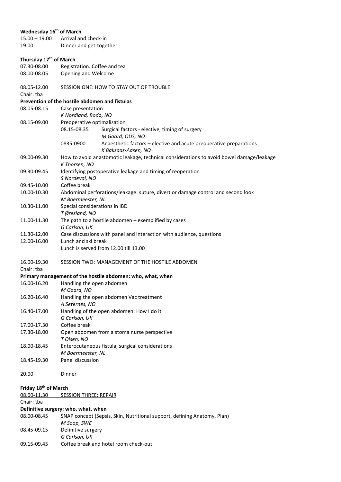#### **Wednesday 16th of March**

15.00 – 19.00 Arrival and check-in 19.00 Dinner and get-together

#### **Thursday 17th of March**

07.30-08.00 Registration. Coffee and tea 08.00-08.05 Opening and Welcome

| 08.05-12.00 | SESSION ONE: HOW TO STAY OUT OF TROUBLE |
|-------------|-----------------------------------------|
| Chair: tba  |                                         |

#### **Prevention of the hostile abdomen and fistulas**

08.05-08.15 Case presentation *K Nordland, Bodø, NO* 08.15-09.00 Preoperative optimalisation 08.15-08.35 Surgical factors - elective, timing of surgery *M Gaard, OUS, NO*  0835-0900 Anaesthetic factors – elective and acute preoperative preparations *K Baksaas-Aasen, NO* 09.00-09.30 How to avoid anastomotic leakage, technical considerations to avoid bowel damage/leakage *K Thorsen, NO* 09.30-09.45 Identifying postoperative leakage and timing of reoperation *S Nordeval, NO* 09.45-10.00 Coffee break 10.00-10.30 Abdominal perforations/leakage: suture, divert or damage control and second look *M Boermeester, NL* 10.30-11.00 Special considerations in IBD *T Øresland, NO* 11.00-11.30 The path to a hostile abdomen – exemplified by cases *G Carlson, UK* 11.30-12.00 Case discussions with panel and interaction with audience, questions 12.00-16.00 Lunch and ski break Lunch is served from 12.00 till 13.00

16.00-19.30 SESSION TWO: MANAGEMENT OF THE HOSTILE ABDOMEN Chair: tba

#### **Primary management of the hostile abdomen: who, what, when**

| 16.00-16.20 | Handling the open abdomen                        |
|-------------|--------------------------------------------------|
|             | M Gaard, NO                                      |
| 16.20-16.40 | Handling the open abdomen Vac treatment          |
|             | A Seternes, NO                                   |
| 16.40-17.00 | Handling of the open abdomen: How I do it        |
|             | G Carlson, UK                                    |
| 17.00-17.30 | Coffee break                                     |
| 17.30-18.00 | Open abdomen from a stoma nurse perspective      |
|             | T Olsen, NO                                      |
| 18.00-18.45 | Enterocutaneous fistula, surgical considerations |
|             | M Boermeester, NL                                |
| 18.45-19.30 | Panel discussion                                 |

| 20.00 | Dinner |
|-------|--------|
|       |        |

#### **Friday 18th of March**

| <b>SESSION THREE: REPAIR</b>                                             |
|--------------------------------------------------------------------------|
|                                                                          |
| Definitive surgery: who, what, when                                      |
| SNAP concept (Sepsis, Skin, Nutritional support, defining Anatomy, Plan) |
| M Soop, SWE                                                              |
| Definitive surgery                                                       |
| G Carlson, UK                                                            |
| Coffee break and hotel room check-out                                    |
|                                                                          |